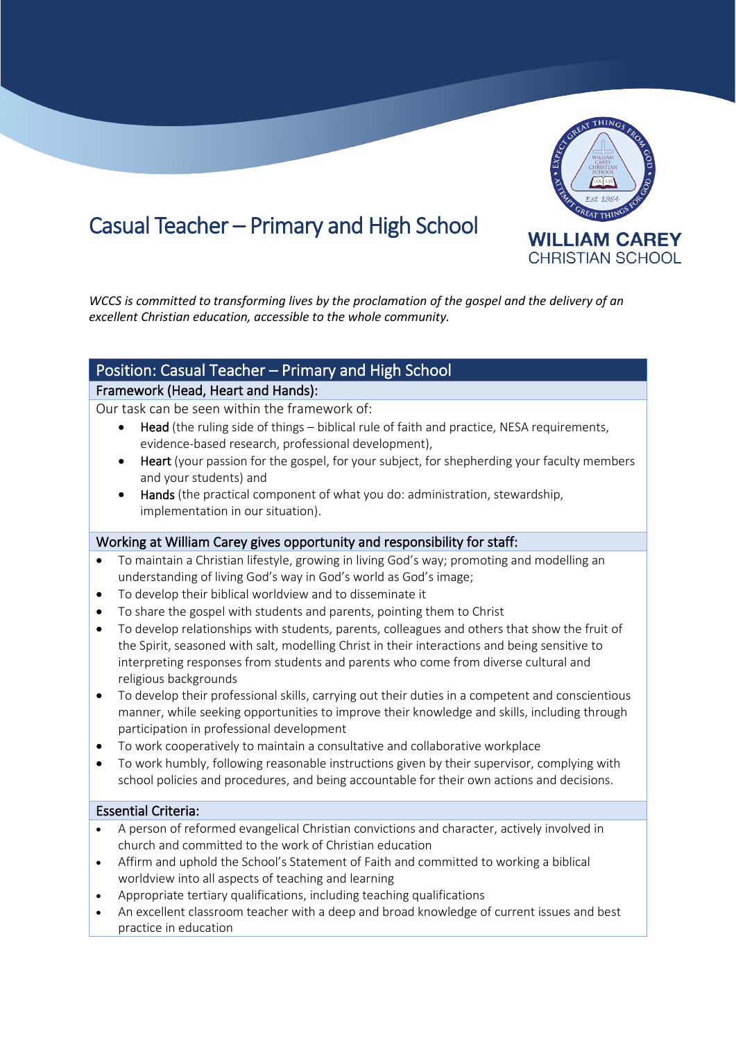

# Casual Teacher – Primary and High School

*WCCS is committed to transforming lives by the proclamation of the gospel and the delivery of an excellent Christian education, accessible to the whole community.*

# Position: Casual Teacher – Primary and High School

# Framework (Head, Heart and Hands):

Our task can be seen within the framework of:

- Head (the ruling side of things biblical rule of faith and practice, NESA requirements, evidence-based research, professional development),
- **Heart** (your passion for the gospel, for your subject, for shepherding your faculty members and your students) and
- Hands (the practical component of what you do: administration, stewardship, implementation in our situation).

#### Working at William Carey gives opportunity and responsibility for staff:

- To maintain a Christian lifestyle, growing in living God's way; promoting and modelling an understanding of living God's way in God's world as God's image;
- To develop their biblical worldview and to disseminate it
- To share the gospel with students and parents, pointing them to Christ
- To develop relationships with students, parents, colleagues and others that show the fruit of the Spirit, seasoned with salt, modelling Christ in their interactions and being sensitive to interpreting responses from students and parents who come from diverse cultural and religious backgrounds
- To develop their professional skills, carrying out their duties in a competent and conscientious manner, while seeking opportunities to improve their knowledge and skills, including through participation in professional development
- To work cooperatively to maintain a consultative and collaborative workplace
- To work humbly, following reasonable instructions given by their supervisor, complying with school policies and procedures, and being accountable for their own actions and decisions.

#### Essential Criteria:

- A person of reformed evangelical Christian convictions and character, actively involved in church and committed to the work of Christian education
- Affirm and uphold the School's Statement of Faith and committed to working a biblical worldview into all aspects of teaching and learning
- Appropriate tertiary qualifications, including teaching qualifications
- An excellent classroom teacher with a deep and broad knowledge of current issues and best practice in education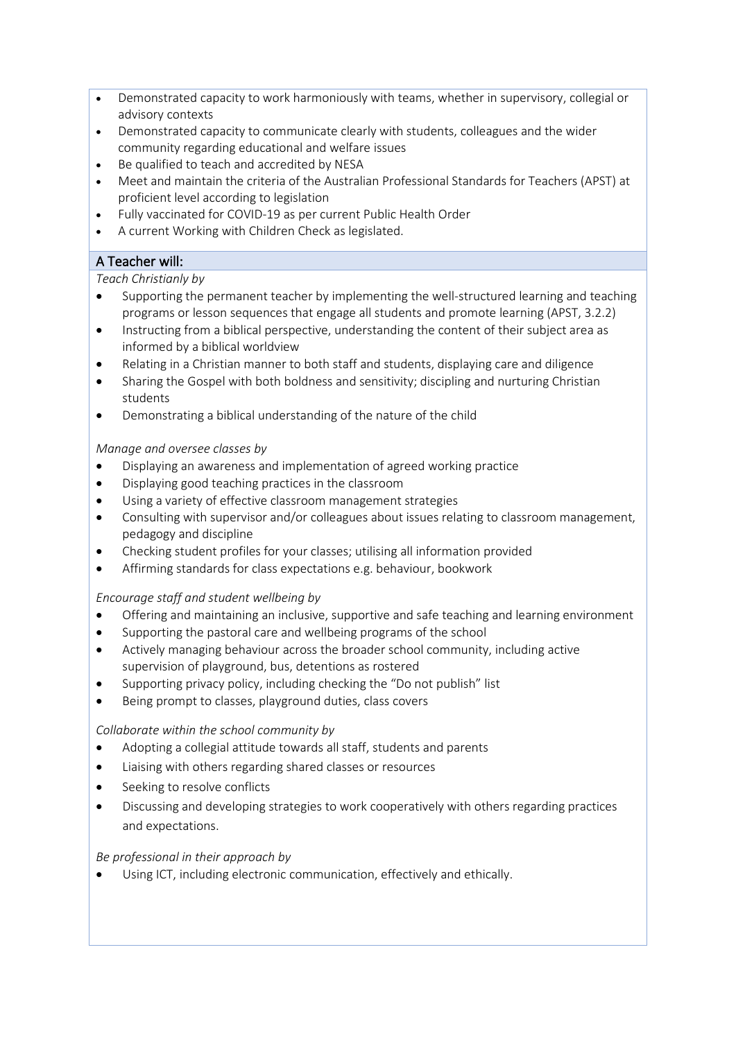- Demonstrated capacity to work harmoniously with teams, whether in supervisory, collegial or advisory contexts
- Demonstrated capacity to communicate clearly with students, colleagues and the wider community regarding educational and welfare issues
- Be qualified to teach and accredited by NESA
- Meet and maintain the criteria of the Australian Professional Standards for Teachers (APST) at proficient level according to legislation
- Fully vaccinated for COVID-19 as per current Public Health Order
- A current Working with Children Check as legislated.

# A Teacher will:

#### *Teach Christianly by*

- Supporting the permanent teacher by implementing the well-structured learning and teaching programs or lesson sequences that engage all students and promote learning (APST, 3.2.2)
- Instructing from a biblical perspective, understanding the content of their subject area as informed by a biblical worldview
- Relating in a Christian manner to both staff and students, displaying care and diligence
- Sharing the Gospel with both boldness and sensitivity; discipling and nurturing Christian students
- Demonstrating a biblical understanding of the nature of the child

# *Manage and oversee classes by*

- Displaying an awareness and implementation of agreed working practice
- Displaying good teaching practices in the classroom
- Using a variety of effective classroom management strategies
- Consulting with supervisor and/or colleagues about issues relating to classroom management, pedagogy and discipline
- Checking student profiles for your classes; utilising all information provided
- Affirming standards for class expectations e.g. behaviour, bookwork

# *Encourage staff and student wellbeing by*

- Offering and maintaining an inclusive, supportive and safe teaching and learning environment
- Supporting the pastoral care and wellbeing programs of the school
- Actively managing behaviour across the broader school community, including active supervision of playground, bus, detentions as rostered
- Supporting privacy policy, including checking the "Do not publish" list
- Being prompt to classes, playground duties, class covers

#### *Collaborate within the school community by*

- Adopting a collegial attitude towards all staff, students and parents
- Liaising with others regarding shared classes or resources
- Seeking to resolve conflicts
- Discussing and developing strategies to work cooperatively with others regarding practices and expectations.

#### *Be professional in their approach by*

• Using ICT, including electronic communication, effectively and ethically.